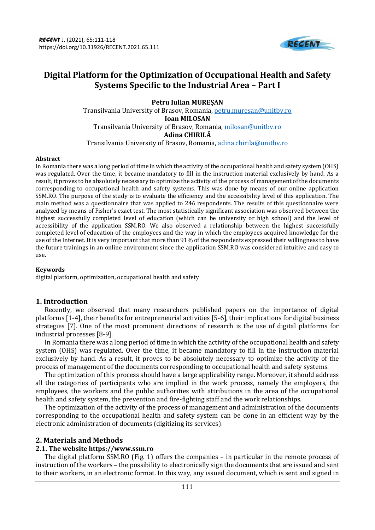

# **Digital Platform for the Optimization of Occupational Health and Safety Systems Specific to the Industrial Area – Part I**

**Petru Iulian MUREȘAN** Transilvania University of Brasov, Romania[, petru.muresan@unitbv.ro](mailto:petru.muresan@unitbv.ro) **Ioan MILOSAN** Transilvania University of Brasov, Romania[, milosan@unitbv.ro](mailto:milosan@unitbv.ro) **Adina CHIRILĂ** Transilvania University of Brasov, Romania, [adina.chirila@unitbv.ro](mailto:adina.chirila@unitbv.ro)

#### **Abstract**

In Romania there was a long period of time in which the activity of the occupational health and safety system (OHS) was regulated. Over the time, it became mandatory to fill in the instruction material exclusively by hand. As a result, it proves to be absolutely necessary to optimize the activity of the process of management of the documents corresponding to occupational health and safety systems. This was done by means of our online application SSM.RO. The purpose of the study is to evaluate the efficiency and the accessibility level of this application. The main method was a questionnaire that was applied to 246 respondents. The results of this questionnaire were analyzed by means of Fisher's exact test. The most statistically significant association was observed between the highest successfully completed level of education (which can be university or high school) and the level of accessibility of the application SSM.RO. We also observed a relationship between the highest successfully completed level of education of the employees and the way in which the employees acquired knowledge for the use of the Internet. It is very important that more than 91% of the respondents expressed their willingness to have the future trainings in an online environment since the application SSM.RO was considered intuitive and easy to use.

## **Keywords**

digital platform, optimization, occupational health and safety

## **1. Introduction**

Recently, we observed that many researchers published papers on the importance of digital platforms [1-4], their benefits for entrepreneurial activities [5-6], their implications for digital business strategies [7]. One of the most prominent directions of research is the use of digital platforms for industrial processes [8-9].

In Romania there was a long period of time in which the activity of the occupational health and safety system (OHS) was regulated. Over the time, it became mandatory to fill in the instruction material exclusively by hand. As a result, it proves to be absolutely necessary to optimize the activity of the process of management of the documents corresponding to occupational health and safety systems.

The optimization of this process should have a large applicability range. Moreover, it should address all the categories of participants who are implied in the work process, namely the employers, the employees, the workers and the public authorities with attributions in the area of the occupational health and safety system, the prevention and fire-fighting staff and the work relationships.

The optimization of the activity of the process of management and administration of the documents corresponding to the occupational health and safety system can be done in an efficient way by the electronic administration of documents (digitizing its services).

## **2. Materials and Methods**

## **2.1. The website https://www.ssm.ro**

The digital platform SSM.RO (Fig. 1) offers the companies – in particular in the remote process of instruction of the workers – the possibility to electronically sign the documents that are issued and sent to their workers, in an electronic format. In this way, any issued document, which is sent and signed in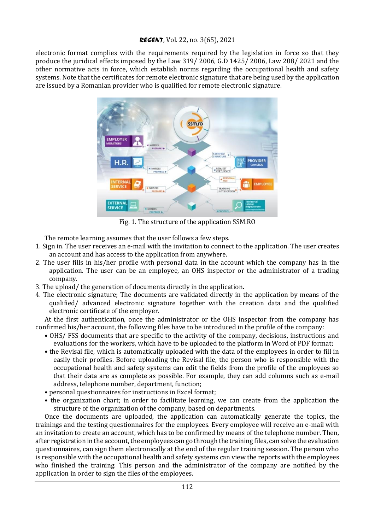electronic format complies with the requirements required by the legislation in force so that they produce the juridical effects imposed by the Law 319/ 2006, G.D 1425/ 2006, Law 208/ 2021 and the other normative acts in force, which establish norms regarding the occupational health and safety systems. Note that the certificates for remote electronic signature that are being used by the application are issued by a Romanian provider who is qualified for remote electronic signature.



Fig. 1. The structure of the application SSM.RO

The remote learning assumes that the user follows a few steps.

- 1. Sign in. The user receives an e-mail with the invitation to connect to the application. The user creates an account and has access to the application from anywhere.
- 2. The user fills in his/her profile with personal data in the account which the company has in the application. The user can be an employee, an OHS inspector or the administrator of a trading company.
- 3. The upload/ the generation of documents directly in the application.
- 4. The electronic signature; The documents are validated directly in the application by means of the qualified/ advanced electronic signature together with the creation data and the qualified electronic certificate of the employer.

At the first authentication, once the administrator or the OHS inspector from the company has confirmed his/her account, the following files have to be introduced in the profile of the company:

- OHS/ FSS documents that are specific to the activity of the company, decisions, instructions and evaluations for the workers, which have to be uploaded to the platform in Word of PDF format;
- the Revisal file, which is automatically uploaded with the data of the employees in order to fill in easily their profiles. Before uploading the Revisal file, the person who is responsible with the occupational health and safety systems can edit the fields from the profile of the employees so that their data are as complete as possible. For example, they can add columns such as e-mail address, telephone number, department, function;
- personal questionnaires for instructions in Excel format;
- the organization chart; in order to facilitate learning, we can create from the application the structure of the organization of the company, based on departments.

Once the documents are uploaded, the application can automatically generate the topics, the trainings and the testing questionnaires for the employees. Every employee will receive an e-mail with an invitation to create an account, which has to be confirmed by means of the telephone number. Then, after registration in the account, the employees can go through the training files, can solve the evaluation questionnaires, can sign them electronically at the end of the regular training session. The person who is responsible with the occupational health and safety systems can view the reports with the employees who finished the training. This person and the administrator of the company are notified by the application in order to sign the files of the employees.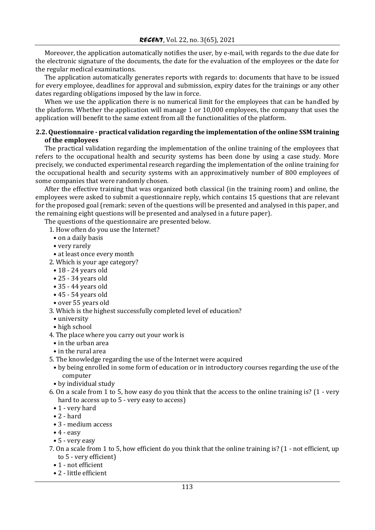Moreover, the application automatically notifies the user, by e-mail, with regards to the due date for the electronic signature of the documents, the date for the evaluation of the employees or the date for the regular medical examinations.

The application automatically generates reports with regards to: documents that have to be issued for every employee, deadlines for approval and submission, expiry dates for the trainings or any other dates regarding obligations imposed by the law in force.

When we use the application there is no numerical limit for the employees that can be handled by the platform. Whether the application will manage 1 or 10,000 employees, the company that uses the application will benefit to the same extent from all the functionalities of the platform.

## **2.2. Questionnaire - practical validation regarding the implementation of the online SSM training of the employees**

The practical validation regarding the implementation of the online training of the employees that refers to the occupational health and security systems has been done by using a case study. More precisely, we conducted experimental research regarding the implementation of the online training for the occupational health and security systems with an approximatively number of 800 employees of some companies that were randomly chosen.

After the effective training that was organized both classical (in the training room) and online, the employees were asked to submit a questionnaire reply, which contains 15 questions that are relevant for the proposed goal (remark: seven of the questions will be presented and analysed in this paper, and the remaining eight questions will be presented and analysed in a future paper).

The questions of the questionnaire are presented below.

- 1. How often do you use the Internet?
	- on a daily basis
	- very rarely
- at least once every month
- 2. Which is your age category?
	- 18 24 years old
	- 25 34 years old
	- 35 44 years old
	- 45 54 years old
	- over 55 years old
- 3. Which is the highest successfully completed level of education?
	- university
	- high school
- 4. The place where you carry out your work is
	- in the urban area
	- in the rural area
- 5. The knowledge regarding the use of the Internet were acquired
- by being enrolled in some form of education or in introductory courses regarding the use of the computer
- by individual study
- 6. On a scale from 1 to 5, how easy do you think that the access to the online training is? (1 very hard to access up to 5 - very easy to access)
	- 1 very hard
	- $\bullet$  2 hard
	- 3 medium access
	- $\bullet$  4 easy
	- 5 very easy
- 7. On a scale from 1 to 5, how efficient do you think that the online training is? (1 not efficient, up to 5 - very efficient)
	- 1 not efficient
	- 2 little efficient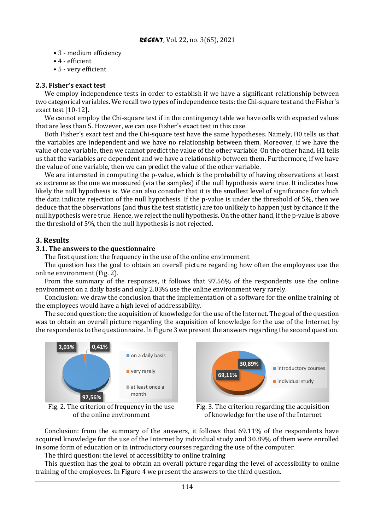- 3 medium efficiency
- 4 efficient
- 5 very efficient

## **2.3. Fisher's exact test**

We employ independence tests in order to establish if we have a significant relationship between two categorical variables. We recall two types of independence tests: the Chi-square test and the Fisher's exact test [10-12].

We cannot employ the Chi-square test if in the contingency table we have cells with expected values that are less than 5. However, we can use Fisher's exact test in this case.

Both Fisher's exact test and the Chi-square test have the same hypotheses. Namely, H0 tells us that the variables are independent and we have no relationship between them. Moreover, if we have the value of one variable, then we cannot predict the value of the other variable. On the other hand, H1 tells us that the variables are dependent and we have a relationship between them. Furthermore, if we have the value of one variable, then we can predict the value of the other variable.

We are interested in computing the p-value, which is the probability of having observations at least as extreme as the one we measured (via the samples) if the null hypothesis were true. It indicates how likely the null hypothesis is. We can also consider that it is the smallest level of significance for which the data indicate rejection of the null hypothesis. If the p-value is under the threshold of 5%, then we deduce that the observations (and thus the test statistic) are too unlikely to happen just by chance if the null hypothesis were true. Hence, we reject the null hypothesis. On the other hand, if the p-value is above the threshold of 5%, then the null hypothesis is not rejected.

# **3. Results**

## **3.1. The answers to the questionnaire**

The first question: the frequency in the use of the online environment

The question has the goal to obtain an overall picture regarding how often the employees use the online environment (Fig. 2).

From the summary of the responses, it follows that 97.56% of the respondents use the online environment on a daily basis and only 2.03% use the online environment very rarely.

Conclusion: we draw the conclusion that the implementation of a software for the online training of the employees would have a high level of addressability.

The second question: the acquisition of knowledge for the use of the Internet. The goal of the question was to obtain an overall picture regarding the acquisition of knowledge for the use of the Internet by the respondents to the questionnaire. In Figure 3 we present the answers regarding the second question.



Fig. 2. The criterion of frequency in the use of the online environment



Fig. 3. The criterion regarding the acquisition of knowledge for the use of the Internet

Conclusion: from the summary of the answers, it follows that 69.11% of the respondents have acquired knowledge for the use of the Internet by individual study and 30.89% of them were enrolled in some form of education or in introductory courses regarding the use of the computer.

The third question: the level of accessibility to online training

This question has the goal to obtain an overall picture regarding the level of accessibility to online training of the employees. In Figure 4 we present the answers to the third question.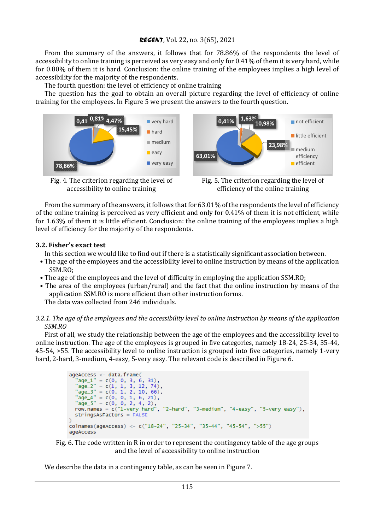From the summary of the answers, it follows that for 78.86% of the respondents the level of accessibility to online training is perceived as very easy and only for 0.41% of them it is very hard, while for 0.80% of them it is hard. Conclusion: the online training of the employees implies a high level of accessibility for the majority of the respondents.

The fourth question: the level of efficiency of online training

The question has the goal to obtain an overall picture regarding the level of efficiency of online training for the employees. In Figure 5 we present the answers to the fourth question.



Fig. 4. The criterion regarding the level of accessibility to online training



Fig. 5. The criterion regarding the level of efficiency of the online training

From the summary of the answers, it follows that for 63.01% of the respondents the level of efficiency of the online training is perceived as very efficient and only for 0.41% of them it is not efficient, while for 1.63% of them it is little efficient. Conclusion: the online training of the employees implies a high level of efficiency for the majority of the respondents.

# **3.2. Fisher's exact test**

In this section we would like to find out if there is a statistically significant association between.

- The age of the employees and the accessibility level to online instruction by means of the application SSM.RO;
- The age of the employees and the level of difficulty in employing the application SSM.RO;
- The area of the employees (urban/rural) and the fact that the online instruction by means of the application SSM.RO is more efficient than other instruction forms. The data was collected from 246 individuals.
- *3.2.1. The age of the employees and the accessibility level to online instruction by means of the application SSM.RO*

First of all, we study the relationship between the age of the employees and the accessibility level to online instruction. The age of the employees is grouped in five categories, namely 18-24, 25-34, 35-44, 45-54, >55. The accessibility level to online instruction is grouped into five categories, namely 1-very hard, 2-hard, 3-medium, 4-easy, 5-very easy. The relevant code is described in Figure 6.

```
ageAccess <- data.frame(
    geAccess <- data.trame(<br>
"age_1" = c(0, 0, 3, 6, 31),<br>
"age_2" = c(1, 1, 3, 12, 74),<br>
"age_3" = c(0, 1, 2, 10, 66),<br>
"age_4" = c(0, 0, 1, 6, 21),<br>
"age_4" = c(0, 0, 1, 6, 21),
    \begin{aligned} \text{age\_+} &= \text{C}(0, 0, 1, 0, 21), \\ \text{age\_5" &= \text{C}(0, 0, 2, 4, 2), \\ \text{row. names} &= \text{C("1-very hard", "2-hard", "3-medium", "4-easy", "5-very easy"),} \end{aligned}stringsAsFactors = FALSE
colnames (ageAccess) <- c("18-24", "25-34", "35-44", "45-54", ">55")
ageAccess
```


We describe the data in a contingency table, as can be seen in Figure 7.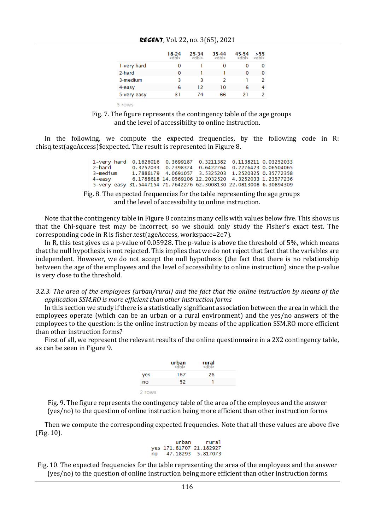| RECENT, Vol. 22, no. $3(65)$ , 2021 |  |  |  |  |  |
|-------------------------------------|--|--|--|--|--|
|-------------------------------------|--|--|--|--|--|

|             | 18-24<br>$<$ dbl> | 25-34<br>$<$ dbl> | 35-44<br>$<$ dbl> | 45-54<br><dbl></dbl> | >55<br>$<$ dbl> |
|-------------|-------------------|-------------------|-------------------|----------------------|-----------------|
| 1-very hard | 0                 |                   | o                 | 0                    | o               |
| 2-hard      | 0                 |                   |                   | Ω                    | 0               |
| 3-medium    | 3                 | з                 | 2                 |                      |                 |
| 4-easy      | 6                 | 12                | 10                | 6                    |                 |
| 5-very easy | 31                | 74                | 66                | 21                   |                 |

5 rows

Fig. 7. The figure represents the contingency table of the age groups and the level of accessibility to online instruction.

In the following, we compute the expected frequencies, by the following code in R: chisq.test(ageAccess)\$expected. The result is represented in Figure 8.

| 1-very hard 0.1626016 0.3699187 0.3211382 0.1138211 0.03252033     |  |  |                                                      |
|--------------------------------------------------------------------|--|--|------------------------------------------------------|
| 2-hard                                                             |  |  | 0.3252033 0.7398374 0.6422764 0.2276423 0.06504065   |
| 3-medium                                                           |  |  | 1.7886179 4.0691057 3.5325203 1.2520325 0.35772358   |
| 4-easy                                                             |  |  | 6.1788618 14.0569106 12.2032520 4.3252033 1.23577236 |
| 5-very easy 31.5447154 71.7642276 62.3008130 22.0813008 6.30894309 |  |  |                                                      |

Fig. 8. The expected frequencies for the table representing the age groups and the level of accessibility to online instruction.

Note that the contingency table in Figure 8 contains many cells with values below five. This shows us that the Chi-square test may be incorrect, so we should only study the Fisher's exact test. The corresponding code in R is fisher.test(ageAccess, workspace=2e7).

In R, this test gives us a p-value of 0.05928. The p-value is above the threshold of 5%, which means that the null hypothesis is not rejected. This implies that we do not reject that fact that the variables are independent. However, we do not accept the null hypothesis (the fact that there is no relationship between the age of the employees and the level of accessibility to online instruction) since the p-value is very close to the threshold.

*3.2.3. The area of the employees (urban/rural) and the fact that the online instruction by means of the application SSM.RO is more efficient than other instruction forms*

In this section we study if there is a statistically significant association between the area in which the employees operate (which can be an urban or a rural environment) and the yes/no answers of the employees to the question: is the online instruction by means of the application SSM.RO more efficient than other instruction forms?

First of all, we represent the relevant results of the online questionnaire in a 2X2 contingency table, as can be seen in Figure 9.



Fig. 9. The figure represents the contingency table of the area of the employees and the answer (yes/no) to the question of online instruction being more efficient than other instruction forms

Then we compute the corresponding expected frequencies. Note that all these values are above five (Fig. 10).

```
rural
        urban
yes 171.81707 21.182927
no47.18293 5.817073
```
Fig. 10. The expected frequencies for the table representing the area of the employees and the answer (yes/no) to the question of online instruction being more efficient than other instruction forms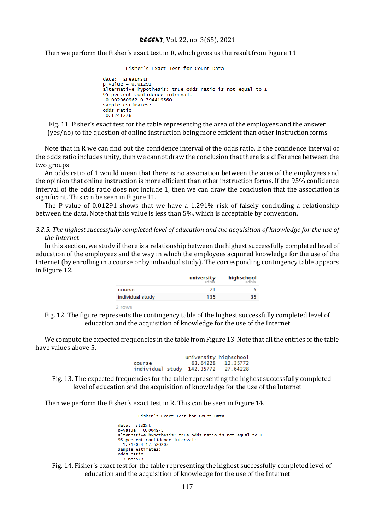Then we perform the Fisher's exact test in R, which gives us the result from Figure 11.

```
Fisher's Exact Test for Count Data
```

```
data: areaInstr
p-value = 0.01291alternative hypothesis: true odds ratio is not equal to 1
arternactic hypochesis: crae sa
0.002960962 0.794419560
sample estimates:
odds ratio
0.1241276
```
Fig. 11. Fisher's exact test for the table representing the area of the employees and the answer (yes/no) to the question of online instruction being more efficient than other instruction forms

Note that in R we can find out the confidence interval of the odds ratio. If the confidence interval of the odds ratio includes unity, then we cannot draw the conclusion that there is a difference between the two groups.

An odds ratio of 1 would mean that there is no association between the area of the employees and the opinion that online instruction is more efficient than other instruction forms. If the 95% confidence interval of the odds ratio does not include 1, then we can draw the conclusion that the association is significant. This can be seen in Figure 11.

The P-value of 0.01291 shows that we have a 1.291% risk of falsely concluding a relationship between the data. Note that this value is less than 5%, which is acceptable by convention.

*3.2.5. The highest successfully completed level of education and the acquisition of knowledge for the use of the Internet*

In this section, we study if there is a relationship between the highest successfully completed level of education of the employees and the way in which the employees acquired knowledge for the use of the Internet (by enrolling in a course or by individual study). The corresponding contingency table appears in Figure 12.

|                  | university | highschool |
|------------------|------------|------------|
| course           |            |            |
| individual study | 135        | 35         |

Fig. 12. The figure represents the contingency table of the highest successfully completed level of education and the acquisition of knowledge for the use of the Internet

We compute the expected frequencies in the table from Figure 13. Note that all the entries of the table have values above 5.

> university highschool course 63.64228 12.35772 individual study 142.35772 27.64228

Fig. 13. The expected frequencies for the table representing the highest successfully completed level of education and the acquisition of knowledge for the use of the Internet

Then we perform the Fisher's exact test in R. This can be seen in Figure 14.

2 rows

```
Fisher's Exact Test for Count Data
data: stdInt
```

```
p-value = 0.004975alternative hypothesis: true odds ratio is not equal to 1
95 percent confidence interval:
 1, 347024 12, 520207
sample estimates:
odds ratio
  3.665573
```
Fig. 14. Fisher's exact test for the table representing the highest successfully completed level of education and the acquisition of knowledge for the use of the Internet